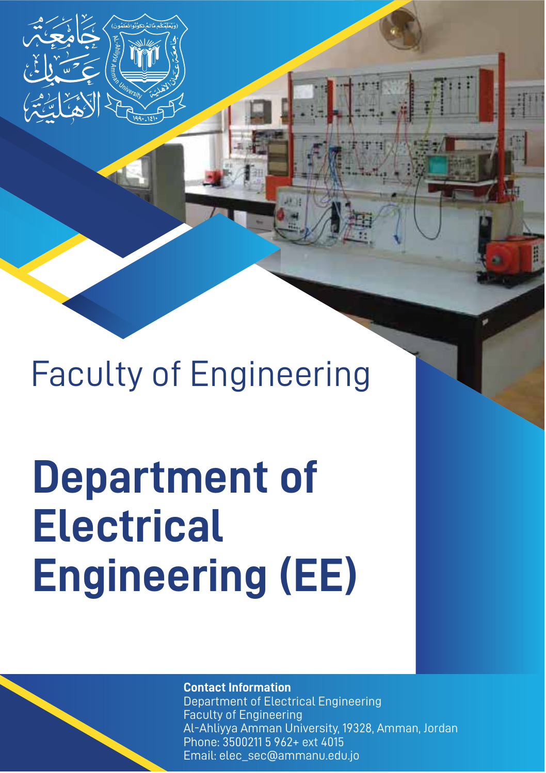Faculty of Engineering

# **Department of Electrical Engineering (EE)**

#### **Contact Information**

Department of Electrical Engineering Faculty of Engineering Al-Ahliyya Amman University, 19328, Amman, Jordan Phone: 3500211 5 962+ ext 4015 Email: elec\_sec@ammanu.edu.jo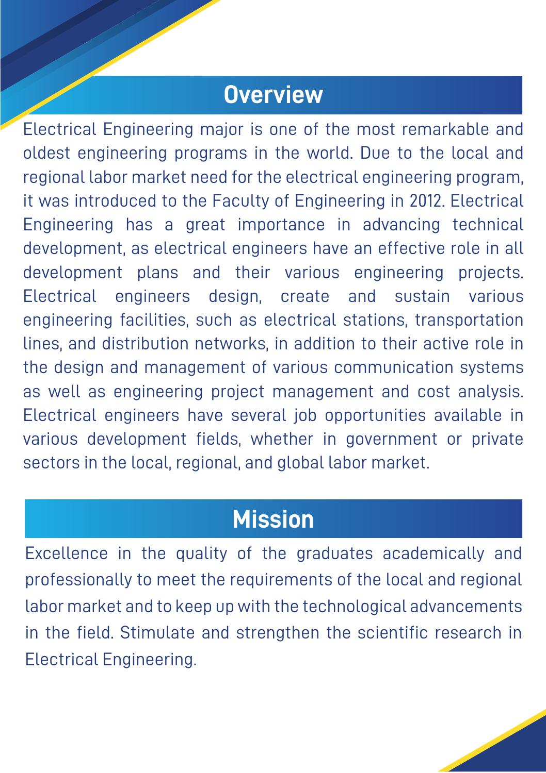#### **Overview**

Electrical Engineering major is one of the most remarkable and oldest engineering programs in the world. Due to the local and regional labor market need for the electrical engineering program, it was introduced to the Faculty of Engineering in 2012. Electrical Engineering has a great importance in advancing technical development, as electrical engineers have an effective role in all development plans and their various engineering projects. Electrical engineers design, create and sustain various engineering facilities, such as electrical stations, transportation lines, and distribution networks, in addition to their active role in the design and management of various communication systems as well as engineering project management and cost analysis. Electrical engineers have several job opportunities available in various development fields, whether in government or private sectors in the local, regional, and global labor market.

#### **Mission**

Excellence in the quality of the graduates academically and professionally to meet the requirements of the local and regional labor market and to keep up with the technological advancements in the field. Stimulate and strengthen the scientific research in Electrical Engineering.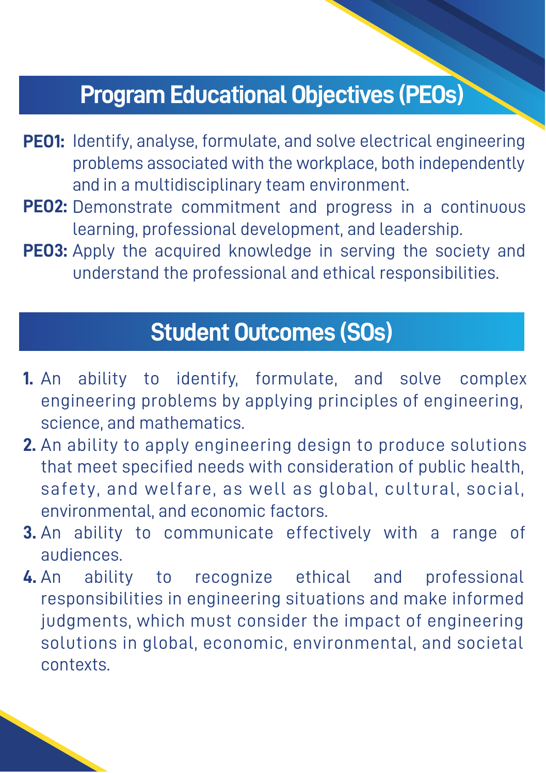## **Program Educational Objectives (PEOs)**

- PEO1: Identify, analyse, formulate, and solve electrical engineering problems associated with the workplace, both independently and in a multidisciplinary team environment.
- PEO2: Demonstrate commitment and progress in a continuous learning, professional development, and leadership.
- PE03: Apply the acquired knowledge in serving the society and understand the professional and ethical responsibilities.

## **Student Outcomes (SOs)**

- **1.** An ability to identify, formulate, and solve complex engineering problems by applying principles of engineering, science, and mathematics.
- **2.** An ability to apply engineering design to produce solutions that meet specified needs with consideration of public health, safety, and welfare, as well as global, cultural, social, environmental, and economic factors.
- **3.** An ability to communicate effectively with a range of audiences.
- **4.** An ability to recognize ethical and professional responsibilities in engineering situations and make informed judgments, which must consider the impact of engineering solutions in global, economic, environmental, and societal contexts.